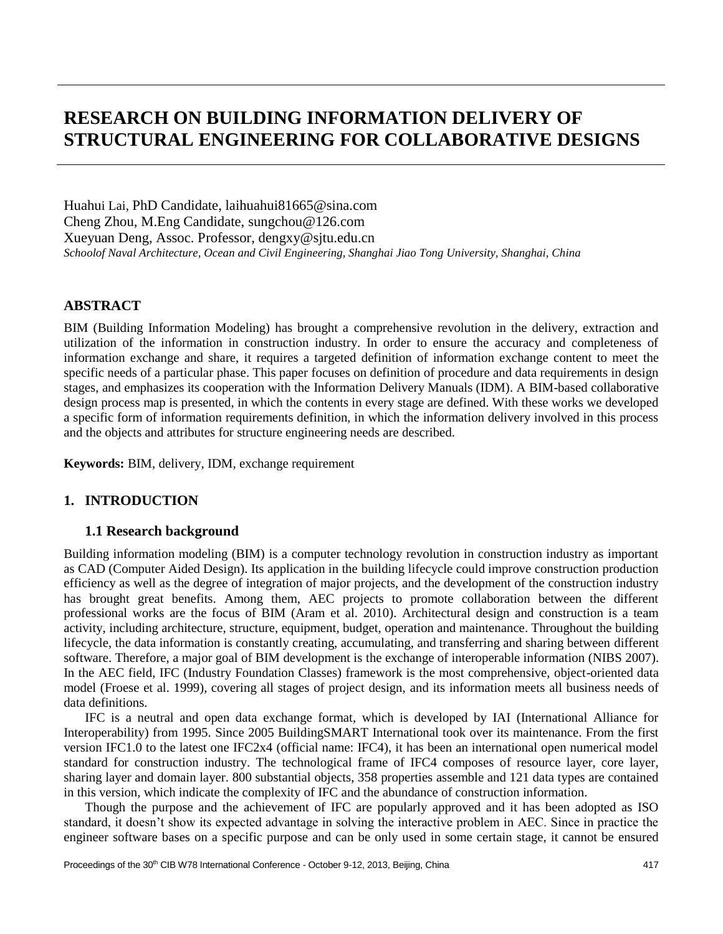# **RESEARCH ON BUILDING INFORMATION DELIVERY OF STRUCTURAL ENGINEERING FOR COLLABORATIVE DESIGNS**

Huahui Lai, PhD Candidate, [laihuahui81665@sina.com](mailto:laihuahui81665@sina.com) Cheng Zhou, M.Eng Candidate, [sungchou@126.com](mailto:%20sungchou@126.com) Xueyuan Deng, Assoc. Professor, [dengxy@sjtu.edu.cn](mailto:dengxy@sjtu.edu.cn) *Schoolof Naval Architecture, Ocean and Civil Engineering, Shanghai Jiao Tong University, Shanghai, China*

## **ABSTRACT**

BIM (Building Information Modeling) has brought a comprehensive revolution in the delivery, extraction and utilization of the information in construction industry. In order to ensure the accuracy and completeness of information exchange and share, it requires a targeted definition of information exchange content to meet the specific needs of a particular phase. This paper focuses on definition of procedure and data requirements in design stages, and emphasizes its cooperation with the Information Delivery Manuals (IDM). A BIM-based collaborative design process map is presented, in which the contents in every stage are defined. With these works we developed a specific form of information requirements definition, in which the information delivery involved in this process and the objects and attributes for structure engineering needs are described.

**Keywords:** BIM, delivery, IDM, exchange requirement

# **1. INTRODUCTION**

## **1.1 Research background**

Building information modeling (BIM) is a computer technology revolution in construction industry as important as CAD (Computer Aided Design). Its application in the building lifecycle could improve construction production efficiency as well as the degree of integration of major projects, and the development of the construction industry has brought great benefits. Among them, AEC projects to promote collaboration between the different professional works are the focus of BIM (Aram et al. 2010). Architectural design and construction is a team activity, including architecture, structure, equipment, budget, operation and maintenance. Throughout the building lifecycle, the data information is constantly creating, accumulating, and transferring and sharing between different software. Therefore, a major goal of BIM development is the exchange of interoperable information (NIBS 2007). In the AEC field, IFC (Industry Foundation Classes) framework is the most comprehensive, object-oriented data model (Froese et al. 1999), covering all stages of project design, and its information meets all business needs of data definitions.

IFC is a neutral and open data exchange format, which is developed by IAI (International Alliance for Interoperability) from 1995. Since 2005 BuildingSMART International took over its maintenance. From the first version IFC1.0 to the latest one IFC2x4 (official name: IFC4), it has been an international open numerical model standard for construction industry. The technological frame of IFC4 composes of resource layer, core layer, sharing layer and domain layer. 800 substantial objects, 358 properties assemble and 121 data types are contained in this version, which indicate the complexity of IFC and the abundance of construction information.

Though the purpose and the achievement of IFC are popularly approved and it has been adopted as ISO standard, it doesn't show its expected advantage in solving the interactive problem in AEC. Since in practice the engineer software bases on a specific purpose and can be only used in some certain stage, it cannot be ensured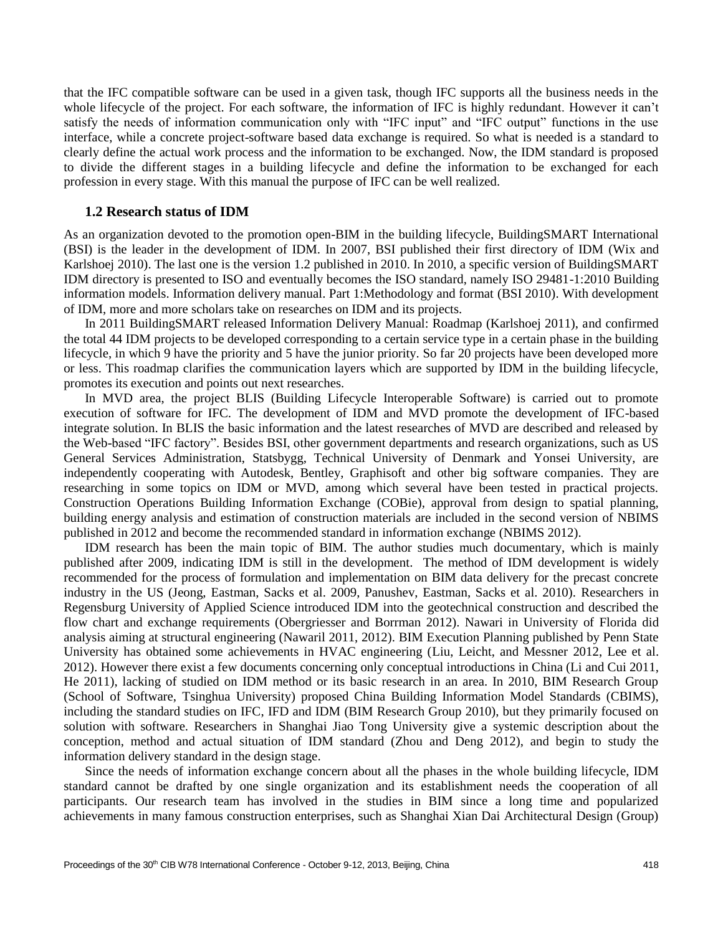that the IFC compatible software can be used in a given task, though IFC supports all the business needs in the whole lifecycle of the project. For each software, the information of IFC is highly redundant. However it can't satisfy the needs of information communication only with "IFC input" and "IFC output" functions in the use interface, while a concrete project-software based data exchange is required. So what is needed is a standard to clearly define the actual work process and the information to be exchanged. Now, the IDM standard is proposed to divide the different stages in a building lifecycle and define the information to be exchanged for each profession in every stage. With this manual the purpose of IFC can be well realized.

#### **1.2 Research status of IDM**

As an organization devoted to the promotion open-BIM in the building lifecycle, BuildingSMART International (BSI) is the leader in the development of IDM. In 2007, BSI published their first directory of IDM (Wix and Karlshoej 2010). The last one is the version 1.2 published in 2010. In 2010, a specific version of BuildingSMART IDM directory is presented to ISO and eventually becomes the ISO standard, namely ISO 29481-1:2010 Building information models. Information delivery manual. Part 1:Methodology and format (BSI 2010). With development of IDM, more and more scholars take on researches on IDM and its projects.

In 2011 BuildingSMART released Information Delivery Manual: Roadmap (Karlshoej 2011), and confirmed the total 44 IDM projects to be developed corresponding to a certain service type in a certain phase in the building lifecycle, in which 9 have the priority and 5 have the junior priority. So far 20 projects have been developed more or less. This roadmap clarifies the communication layers which are supported by IDM in the building lifecycle, promotes its execution and points out next researches.

In MVD area, the project BLIS (Building Lifecycle Interoperable Software) is carried out to promote execution of software for IFC. The development of IDM and MVD promote the development of IFC-based integrate solution. In BLIS the basic information and the latest researches of MVD are described and released by the Web-based "IFC factory". Besides BSI, other government departments and research organizations, such as US General Services Administration, Statsbygg, Technical University of Denmark and Yonsei University, are independently cooperating with Autodesk, Bentley, Graphisoft and other big software companies. They are researching in some topics on IDM or MVD, among which several have been tested in practical projects. Construction Operations Building Information Exchange (COBie), approval from design to spatial planning, building energy analysis and estimation of construction materials are included in the second version of NBIMS published in 2012 and become the recommended standard in information exchange (NBIMS 2012).

IDM research has been the main topic of BIM. The author studies much documentary, which is mainly published after 2009, indicating IDM is still in the development. The method of IDM development is widely recommended for the process of formulation and implementation on BIM data delivery for the precast concrete industry in the US (Jeong, Eastman, Sacks et al. 2009, Panushev, Eastman, Sacks et al. 2010). Researchers in Regensburg University of Applied Science introduced IDM into the geotechnical construction and described the flow chart and exchange requirements (Obergriesser and Borrman 2012). Nawari in University of Florida did analysis aiming at structural engineering (Nawaril 2011, 2012). BIM Execution Planning published by Penn State University has obtained some achievements in HVAC engineering (Liu, Leicht, and Messner 2012, Lee et al. 2012). However there exist a few documents concerning only conceptual introductions in China (Li and Cui 2011, He 2011), lacking of studied on IDM method or its basic research in an area. In 2010, BIM Research Group (School of Software, Tsinghua University) proposed China Building Information Model Standards (CBIMS), including the standard studies on IFC, IFD and IDM (BIM Research Group 2010), but they primarily focused on solution with software. Researchers in Shanghai Jiao Tong University give a systemic description about the conception, method and actual situation of IDM standard (Zhou and Deng 2012), and begin to study the information delivery standard in the design stage.

Since the needs of information exchange concern about all the phases in the whole building lifecycle, IDM standard cannot be drafted by one single organization and its establishment needs the cooperation of all participants. Our research team has involved in the studies in BIM since a long time and popularized achievements in many famous construction enterprises, such as Shanghai Xian Dai Architectural Design (Group)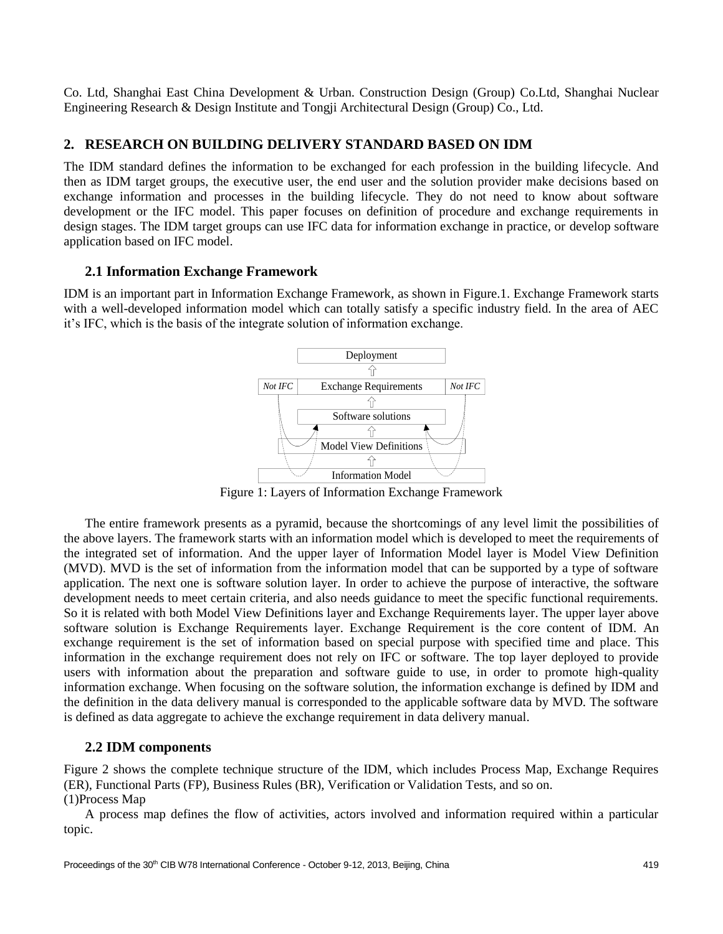Co. Ltd, Shanghai East China Development & Urban. Construction Design (Group) Co.Ltd, Shanghai Nuclear Engineering Research & Design Institute and Tongji Architectural Design (Group) Co., Ltd.

## **2. RESEARCH ON BUILDING DELIVERY STANDARD BASED ON IDM**

The IDM standard defines the information to be exchanged for each profession in the building lifecycle. And then as IDM target groups, the executive user, the end user and the solution provider make decisions based on exchange information and processes in the building lifecycle. They do not need to know about software development or the IFC model. This paper focuses on definition of procedure and exchange requirements in design stages. The IDM target groups can use IFC data for information exchange in practice, or develop software application based on IFC model.

## **2.1 Information Exchange Framework**

IDM is an important part in Information Exchange Framework, as shown in Figure.1. Exchange Framework starts with a well-developed information model which can totally satisfy a specific industry field. In the area of AEC it's IFC, which is the basis of the integrate solution of information exchange.



Figure 1: Layers of Information Exchange Framework

The entire framework presents as a pyramid, because the shortcomings of any level limit the possibilities of the above layers. The framework starts with an information model which is developed to meet the requirements of the integrated set of information. And the upper layer of Information Model layer is Model View Definition (MVD). MVD is the set of information from the information model that can be supported by a type of software application. The next one is software solution layer. In order to achieve the purpose of interactive, the software development needs to meet certain criteria, and also needs guidance to meet the specific functional requirements. So it is related with both Model View Definitions layer and Exchange Requirements layer. The upper layer above software solution is Exchange Requirements layer. Exchange Requirement is the core content of IDM. An exchange requirement is the set of information based on special purpose with specified time and place. This information in the exchange requirement does not rely on IFC or software. The top layer deployed to provide users with information about the preparation and software guide to use, in order to promote high-quality information exchange. When focusing on the software solution, the information exchange is defined by IDM and the definition in the data delivery manual is corresponded to the applicable software data by MVD. The software is defined as data aggregate to achieve the exchange requirement in data delivery manual.

# **2.2 IDM components**

Figure 2 shows the complete technique structure of the IDM, which includes Process Map, Exchange Requires (ER), Functional Parts (FP), Business Rules (BR), Verification or Validation Tests, and so on. (1)Process Map

A process map defines the flow of activities, actors involved and information required within a particular topic.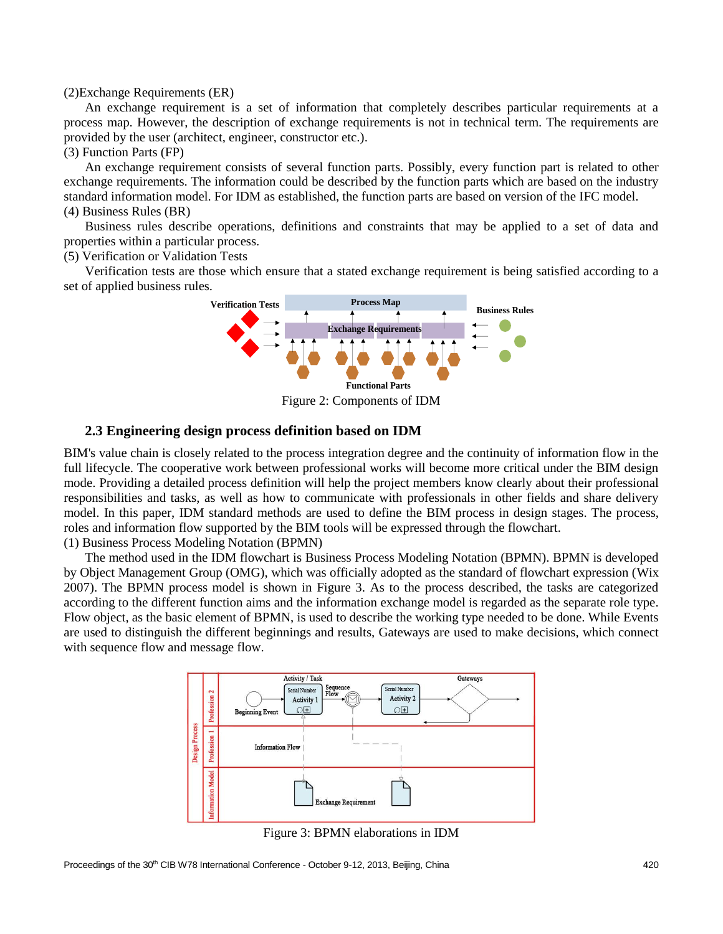#### (2)Exchange Requirements (ER)

An exchange requirement is a set of information that completely describes particular requirements at a process map. However, the description of exchange requirements is not in technical term. The requirements are provided by the user (architect, engineer, constructor etc.).

#### (3) Function Parts (FP)

An exchange requirement consists of several function parts. Possibly, every function part is related to other exchange requirements. The information could be described by the function parts which are based on the industry standard information model. For IDM as established, the function parts are based on version of the IFC model. (4) Business Rules (BR)

Business rules describe operations, definitions and constraints that may be applied to a set of data and properties within a particular process.

(5) Verification or Validation Tests

Verification tests are those which ensure that a stated exchange requirement is being satisfied according to a set of applied business rules.



Figure 2: Components of IDM

#### **2.3 Engineering design process definition based on IDM**

BIM's value chain is closely related to the process integration degree and the continuity of information flow in the full lifecycle. The cooperative work between professional works will become more critical under the BIM design mode. Providing a detailed process definition will help the project members know clearly about their professional responsibilities and tasks, as well as how to communicate with professionals in other fields and share delivery model. In this paper, IDM standard methods are used to define the BIM process in design stages. The process, roles and information flow supported by the BIM tools will be expressed through the flowchart. (1) Business Process Modeling Notation (BPMN)

The method used in the IDM flowchart is Business Process Modeling Notation (BPMN). BPMN is developed by Object Management Group (OMG), which was officially adopted as the standard of flowchart expression (Wix 2007). The BPMN process model is shown in Figure 3. As to the process described, the tasks are categorized according to the different function aims and the information exchange model is regarded as the separate role type. Flow object, as the basic element of BPMN, is used to describe the working type needed to be done. While Events are used to distinguish the different beginnings and results, Gateways are used to make decisions, which connect with sequence flow and message flow.



Figure 3: BPMN elaborations in IDM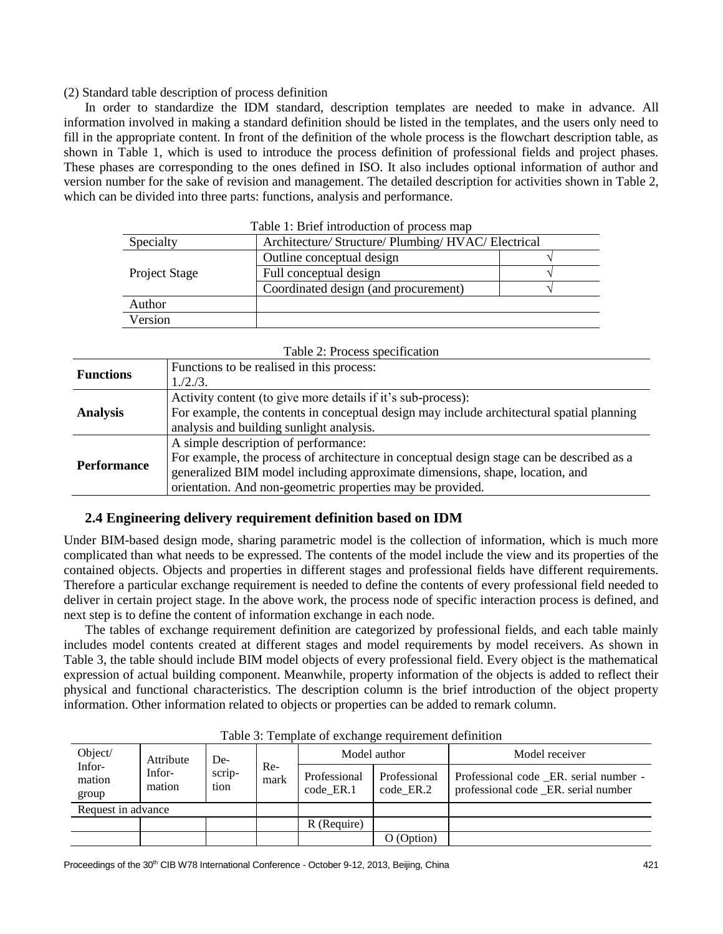#### (2) Standard table description of process definition

In order to standardize the IDM standard, description templates are needed to make in advance. All information involved in making a standard definition should be listed in the templates, and the users only need to fill in the appropriate content. In front of the definition of the whole process is the flowchart description table, as shown in Table 1, which is used to introduce the process definition of professional fields and project phases. These phases are corresponding to the ones defined in ISO. It also includes optional information of author and version number for the sake of revision and management. The detailed description for activities shown in Table 2, which can be divided into three parts: functions, analysis and performance.

| <b>Table 1: Brief introduction of process map</b> |                                                     |  |  |  |  |
|---------------------------------------------------|-----------------------------------------------------|--|--|--|--|
| Specialty                                         | Architecture/ Structure/ Plumbing/ HVAC/ Electrical |  |  |  |  |
|                                                   | Outline conceptual design                           |  |  |  |  |
| <b>Project Stage</b>                              | Full conceptual design                              |  |  |  |  |
|                                                   | Coordinated design (and procurement)                |  |  |  |  |
| Author                                            |                                                     |  |  |  |  |
| Version                                           |                                                     |  |  |  |  |

 $T<sub>1</sub>: T<sub>1</sub>: T<sub>2</sub>: T<sub>3</sub>: T<sub>4</sub>: T<sub>5</sub>: T<sub>6</sub>: T<sub>7</sub>$ 

| Table 2: Process specification |                                                                                           |  |  |  |  |
|--------------------------------|-------------------------------------------------------------------------------------------|--|--|--|--|
|                                | Functions to be realised in this process:                                                 |  |  |  |  |
| <b>Functions</b>               | 1./2./3.                                                                                  |  |  |  |  |
|                                | Activity content (to give more details if it's sub-process):                              |  |  |  |  |
| <b>Analysis</b>                | For example, the contents in conceptual design may include architectural spatial planning |  |  |  |  |
|                                | analysis and building sunlight analysis.                                                  |  |  |  |  |
|                                | A simple description of performance:                                                      |  |  |  |  |
| <b>Performance</b>             | For example, the process of architecture in conceptual design stage can be described as a |  |  |  |  |
|                                | generalized BIM model including approximate dimensions, shape, location, and              |  |  |  |  |
|                                | orientation. And non-geometric properties may be provided.                                |  |  |  |  |

## **2.4 Engineering delivery requirement definition based on IDM**

Under BIM-based design mode, sharing parametric model is the collection of information, which is much more complicated than what needs to be expressed. The contents of the model include the view and its properties of the contained objects. Objects and properties in different stages and professional fields have different requirements. Therefore a particular exchange requirement is needed to define the contents of every professional field needed to deliver in certain project stage. In the above work, the process node of specific interaction process is defined, and next step is to define the content of information exchange in each node.

The tables of exchange requirement definition are categorized by professional fields, and each table mainly includes model contents created at different stages and model requirements by model receivers. As shown in Table 3, the table should include BIM model objects of every professional field. Every object is the mathematical expression of actual building component. Meanwhile, property information of the objects is added to reflect their physical and functional characteristics. The description column is the brief introduction of the object property information. Other information related to objects or properties can be added to remark column.

| Tuote of Template of enemants fequitement community |                               |                       |               |                           |                           |                                                                               |  |  |
|-----------------------------------------------------|-------------------------------|-----------------------|---------------|---------------------------|---------------------------|-------------------------------------------------------------------------------|--|--|
| Object/<br>Infor-<br>mation<br>group                | Attribute<br>Infor-<br>mation | De-<br>scrip-<br>tion | $Re-$<br>mark | Model author              |                           | Model receiver                                                                |  |  |
|                                                     |                               |                       |               | Professional<br>code ER.1 | Professional<br>code ER.2 | Professional code ER. serial number -<br>professional code _ER. serial number |  |  |
| Request in advance                                  |                               |                       |               |                           |                           |                                                                               |  |  |
|                                                     |                               |                       |               | R (Require)               |                           |                                                                               |  |  |
|                                                     |                               |                       |               |                           | O (Option)                |                                                                               |  |  |

Table 3: Template of exchange requirement definition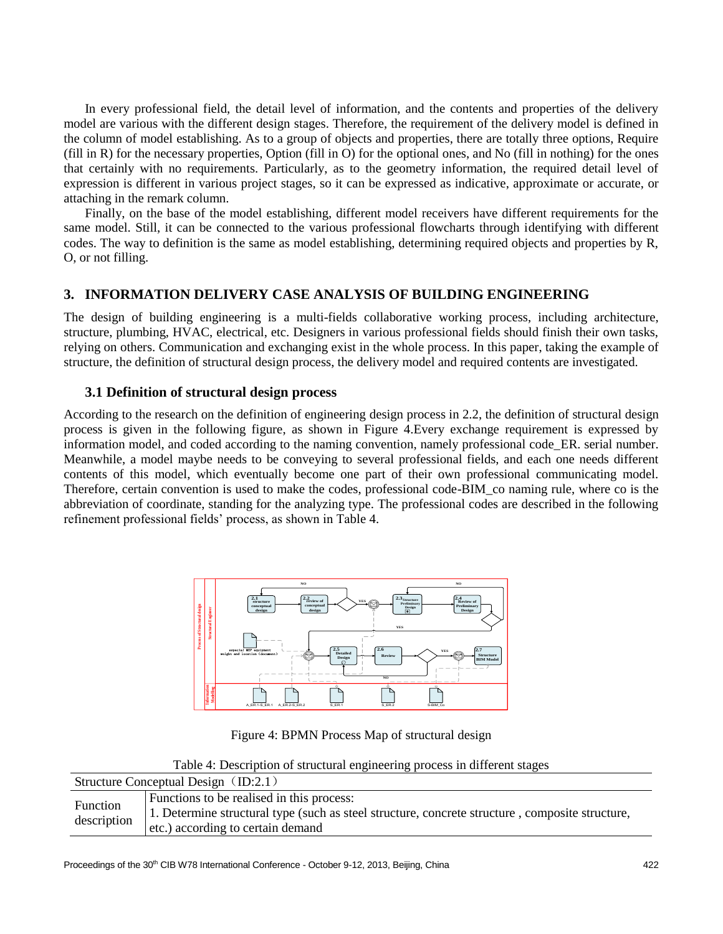In every professional field, the detail level of information, and the contents and properties of the delivery model are various with the different design stages. Therefore, the requirement of the delivery model is defined in the column of model establishing. As to a group of objects and properties, there are totally three options, Require (fill in R) for the necessary properties, Option (fill in O) for the optional ones, and No (fill in nothing) for the ones that certainly with no requirements. Particularly, as to the geometry information, the required detail level of expression is different in various project stages, so it can be expressed as indicative, approximate or accurate, or attaching in the remark column.

Finally, on the base of the model establishing, different model receivers have different requirements for the same model. Still, it can be connected to the various professional flowcharts through identifying with different codes. The way to definition is the same as model establishing, determining required objects and properties by R, O, or not filling.

### **3. INFORMATION DELIVERY CASE ANALYSIS OF BUILDING ENGINEERING**

The design of building engineering is a multi-fields collaborative working process, including architecture, structure, plumbing, HVAC, electrical, etc. Designers in various professional fields should finish their own tasks, relying on others. Communication and exchanging exist in the whole process. In this paper, taking the example of structure, the definition of structural design process, the delivery model and required contents are investigated.

#### **3.1 Definition of structural design process**

According to the research on the definition of engineering design process in 2.2, the definition of structural design process is given in the following figure, as shown in Figure 4.Every exchange requirement is expressed by information model, and coded according to the naming convention, namely professional code\_ER. serial number. Meanwhile, a model maybe needs to be conveying to several professional fields, and each one needs different contents of this model, which eventually become one part of their own professional communicating model. Therefore, certain convention is used to make the codes, professional code-BIM\_co naming rule, where co is the abbreviation of coordinate, standing for the analyzing type. The professional codes are described in the following refinement professional fields' process, as shown in Table 4.



Figure 4: BPMN Process Map of structural design

| Table 4: Description of structural engineering process in different stages |  |  |
|----------------------------------------------------------------------------|--|--|
|                                                                            |  |  |

| Structure Conceptual Design $(ID:2.1)$ |                                                                                                                                                                                   |  |  |  |  |
|----------------------------------------|-----------------------------------------------------------------------------------------------------------------------------------------------------------------------------------|--|--|--|--|
| Function<br>description                | Functions to be realised in this process:<br>1. Determine structural type (such as steel structure, concrete structure, composite structure,<br>etc.) according to certain demand |  |  |  |  |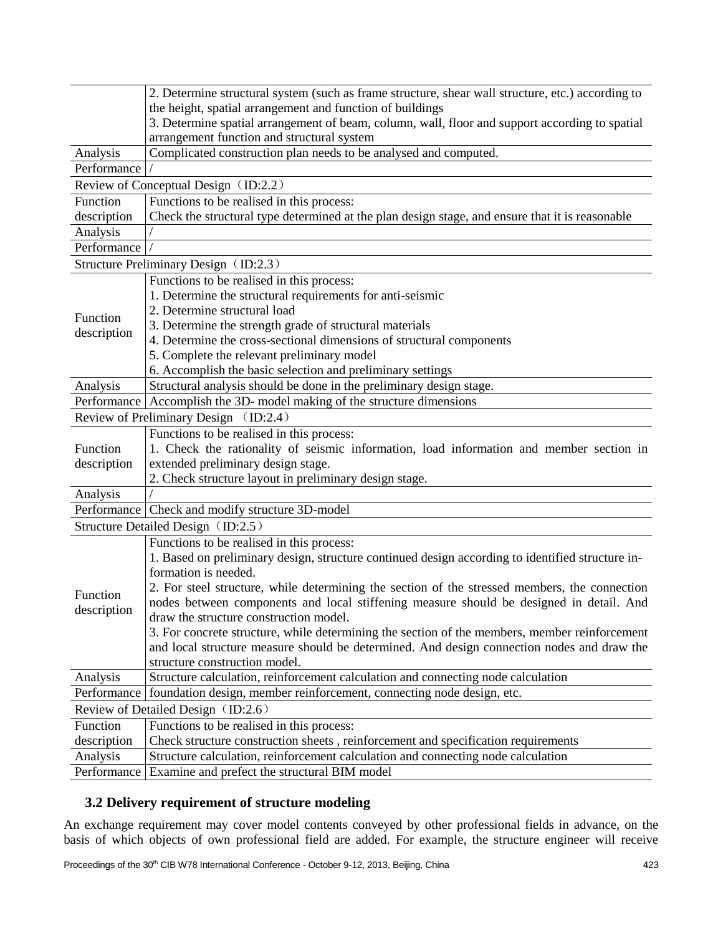|             | 2. Determine structural system (such as frame structure, shear wall structure, etc.) according to |  |  |  |  |  |  |
|-------------|---------------------------------------------------------------------------------------------------|--|--|--|--|--|--|
|             | the height, spatial arrangement and function of buildings                                         |  |  |  |  |  |  |
|             | 3. Determine spatial arrangement of beam, column, wall, floor and support according to spatial    |  |  |  |  |  |  |
|             | arrangement function and structural system                                                        |  |  |  |  |  |  |
| Analysis    | Complicated construction plan needs to be analysed and computed.                                  |  |  |  |  |  |  |
| Performance |                                                                                                   |  |  |  |  |  |  |
|             | Review of Conceptual Design (ID:2.2)                                                              |  |  |  |  |  |  |
| Function    | Functions to be realised in this process:                                                         |  |  |  |  |  |  |
| description | Check the structural type determined at the plan design stage, and ensure that it is reasonable   |  |  |  |  |  |  |
| Analysis    |                                                                                                   |  |  |  |  |  |  |
| Performance |                                                                                                   |  |  |  |  |  |  |
|             | Structure Preliminary Design (ID:2.3)                                                             |  |  |  |  |  |  |
|             | Functions to be realised in this process:                                                         |  |  |  |  |  |  |
|             | 1. Determine the structural requirements for anti-seismic                                         |  |  |  |  |  |  |
| Function    | 2. Determine structural load                                                                      |  |  |  |  |  |  |
| description | 3. Determine the strength grade of structural materials                                           |  |  |  |  |  |  |
|             | 4. Determine the cross-sectional dimensions of structural components                              |  |  |  |  |  |  |
|             | 5. Complete the relevant preliminary model                                                        |  |  |  |  |  |  |
|             | 6. Accomplish the basic selection and preliminary settings                                        |  |  |  |  |  |  |
| Analysis    | Structural analysis should be done in the preliminary design stage.                               |  |  |  |  |  |  |
|             | Performance   Accomplish the 3D- model making of the structure dimensions                         |  |  |  |  |  |  |
|             | Review of Preliminary Design (ID:2.4)                                                             |  |  |  |  |  |  |
|             | Functions to be realised in this process:                                                         |  |  |  |  |  |  |
| Function    | 1. Check the rationality of seismic information, load information and member section in           |  |  |  |  |  |  |
| description | extended preliminary design stage.                                                                |  |  |  |  |  |  |
|             | 2. Check structure layout in preliminary design stage.                                            |  |  |  |  |  |  |
| Analysis    |                                                                                                   |  |  |  |  |  |  |
| Performance | Check and modify structure 3D-model                                                               |  |  |  |  |  |  |
|             | Structure Detailed Design (ID:2.5)                                                                |  |  |  |  |  |  |
|             | Functions to be realised in this process:                                                         |  |  |  |  |  |  |
|             | 1. Based on preliminary design, structure continued design according to identified structure in-  |  |  |  |  |  |  |
|             | formation is needed.                                                                              |  |  |  |  |  |  |
| Function    | 2. For steel structure, while determining the section of the stressed members, the connection     |  |  |  |  |  |  |
|             | nodes between components and local stiffening measure should be designed in detail. And           |  |  |  |  |  |  |
| description | draw the structure construction model.                                                            |  |  |  |  |  |  |
|             | 3. For concrete structure, while determining the section of the members, member reinforcement     |  |  |  |  |  |  |
|             | and local structure measure should be determined. And design connection nodes and draw the        |  |  |  |  |  |  |
|             | structure construction model.                                                                     |  |  |  |  |  |  |
| Analysis    | Structure calculation, reinforcement calculation and connecting node calculation                  |  |  |  |  |  |  |
| Performance | foundation design, member reinforcement, connecting node design, etc.                             |  |  |  |  |  |  |
|             | Review of Detailed Design (ID:2.6)                                                                |  |  |  |  |  |  |
| Function    | Functions to be realised in this process:                                                         |  |  |  |  |  |  |
| description | Check structure construction sheets, reinforcement and specification requirements                 |  |  |  |  |  |  |
| Analysis    | Structure calculation, reinforcement calculation and connecting node calculation                  |  |  |  |  |  |  |
| Performance | Examine and prefect the structural BIM model                                                      |  |  |  |  |  |  |

# **3.2 Delivery requirement of structure modeling**

An exchange requirement may cover model contents conveyed by other professional fields in advance, on the basis of which objects of own professional field are added. For example, the structure engineer will receive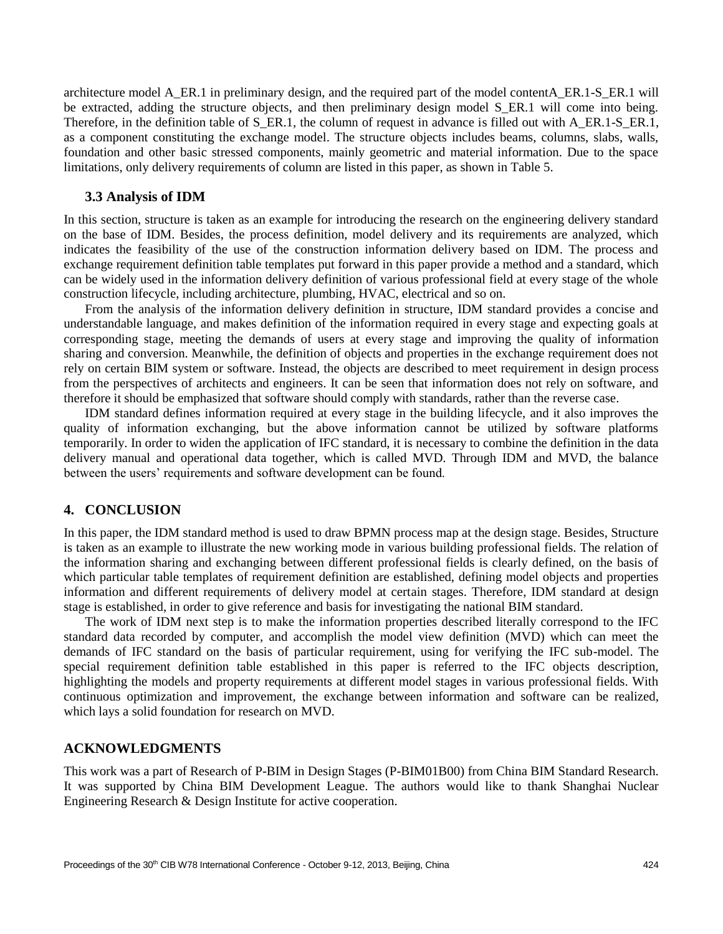architecture model A\_ER.1 in preliminary design, and the required part of the model contentA\_ER.1-S\_ER.1 will be extracted, adding the structure objects, and then preliminary design model S\_ER.1 will come into being. Therefore, in the definition table of S\_ER.1, the column of request in advance is filled out with A\_ER.1-S\_ER.1, as a component constituting the exchange model. The structure objects includes beams, columns, slabs, walls, foundation and other basic stressed components, mainly geometric and material information. Due to the space limitations, only delivery requirements of column are listed in this paper, as shown in Table 5.

#### **3.3 Analysis of IDM**

In this section, structure is taken as an example for introducing the research on the engineering delivery standard on the base of IDM. Besides, the process definition, model delivery and its requirements are analyzed, which indicates the feasibility of the use of the construction information delivery based on IDM. The process and exchange requirement definition table templates put forward in this paper provide a method and a standard, which can be widely used in the information delivery definition of various professional field at every stage of the whole construction lifecycle, including architecture, plumbing, HVAC, electrical and so on.

From the analysis of the information delivery definition in structure, IDM standard provides a concise and understandable language, and makes definition of the information required in every stage and expecting goals at corresponding stage, meeting the demands of users at every stage and improving the quality of information sharing and conversion. Meanwhile, the definition of objects and properties in the exchange requirement does not rely on certain BIM system or software. Instead, the objects are described to meet requirement in design process from the perspectives of architects and engineers. It can be seen that information does not rely on software, and therefore it should be emphasized that software should comply with standards, rather than the reverse case.

IDM standard defines information required at every stage in the building lifecycle, and it also improves the quality of information exchanging, but the above information cannot be utilized by software platforms temporarily. In order to widen the application of IFC standard, it is necessary to combine the definition in the data delivery manual and operational data together, which is called MVD. Through IDM and MVD, the balance between the users' requirements and software development can be found.

#### **4. CONCLUSION**

In this paper, the IDM standard method is used to draw BPMN process map at the design stage. Besides, Structure is taken as an example to illustrate the new working mode in various building professional fields. The relation of the information sharing and exchanging between different professional fields is clearly defined, on the basis of which particular table templates of requirement definition are established, defining model objects and properties information and different requirements of delivery model at certain stages. Therefore, IDM standard at design stage is established, in order to give reference and basis for investigating the national BIM standard.

The work of IDM next step is to make the information properties described literally correspond to the IFC standard data recorded by computer, and accomplish the model view definition (MVD) which can meet the demands of IFC standard on the basis of particular requirement, using for verifying the IFC sub-model. The special requirement definition table established in this paper is referred to the IFC objects description, highlighting the models and property requirements at different model stages in various professional fields. With continuous optimization and improvement, the exchange between information and software can be realized, which lays a solid foundation for research on MVD.

## **ACKNOWLEDGMENTS**

This work was a part of Research of P-BIM in Design Stages (P-BIM01B00) from China BIM Standard Research. It was supported by China BIM Development League. The authors would like to thank Shanghai Nuclear Engineering Research & Design Institute for active cooperation.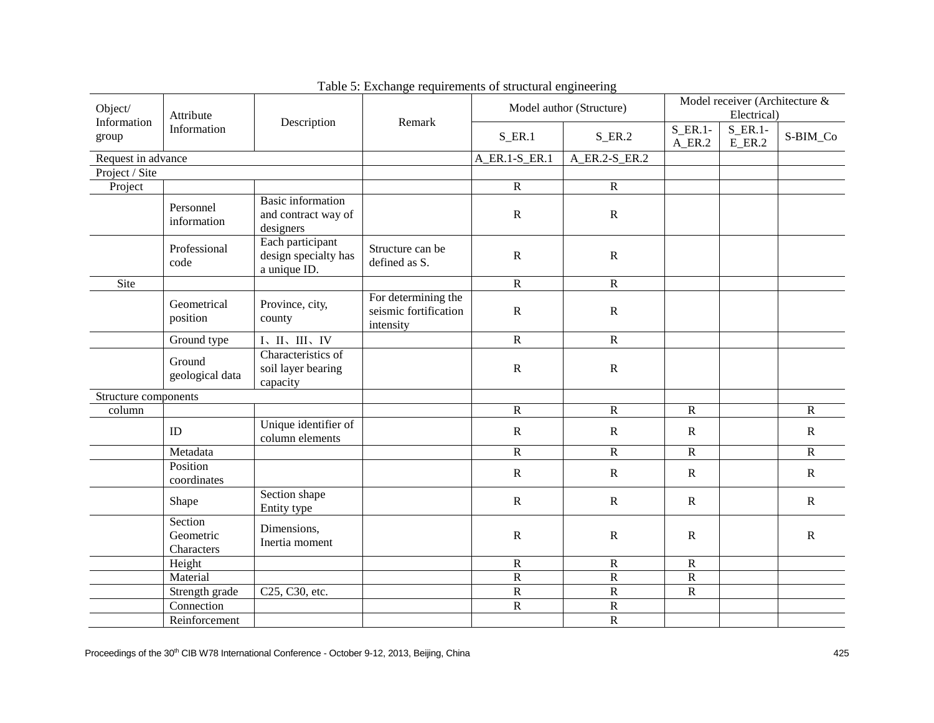| Object/                             | Attribute                          |                                                              |                                                           | Model author (Structure) |                                                | Model receiver (Architecture &<br>Electrical)     |          |                |
|-------------------------------------|------------------------------------|--------------------------------------------------------------|-----------------------------------------------------------|--------------------------|------------------------------------------------|---------------------------------------------------|----------|----------------|
| Information<br>Information<br>group | Description                        | Remark                                                       | $S$ <sub>_ER.1</sub>                                      | $S$ _ER.2                | $S$ <sub>_ER.1</sub> -<br>$A$ <sub>_ER.2</sub> | $S$ <sub>_ER.1</sub> -<br>$E$ <sub>_</sub> $ER.2$ | S-BIM_Co |                |
| Request in advance                  |                                    |                                                              |                                                           | A_ER.1-S_ER.1            | A_ER.2-S_ER.2                                  |                                                   |          |                |
| Project / Site                      |                                    |                                                              |                                                           |                          |                                                |                                                   |          |                |
| Project                             |                                    |                                                              |                                                           | ${\bf R}$                | $\mathbf R$                                    |                                                   |          |                |
|                                     | Personnel<br>information           | <b>Basic</b> information<br>and contract way of<br>designers |                                                           | ${\bf R}$                | ${\bf R}$                                      |                                                   |          |                |
|                                     | Professional<br>code               | Each participant<br>design specialty has<br>a unique ID.     | Structure can be<br>defined as S.                         | ${\bf R}$                | ${\bf R}$                                      |                                                   |          |                |
| Site                                |                                    |                                                              |                                                           | $\overline{R}$           | $\overline{R}$                                 |                                                   |          |                |
|                                     | Geometrical<br>position            | Province, city,<br>county                                    | For determining the<br>seismic fortification<br>intensity | $\mathbf R$              | ${\bf R}$                                      |                                                   |          |                |
|                                     | Ground type                        | I、II、III、IV                                                  |                                                           | ${\bf R}$                | ${\bf R}$                                      |                                                   |          |                |
|                                     | Ground<br>geological data          | Characteristics of<br>soil layer bearing<br>capacity         |                                                           | ${\bf R}$                | ${\bf R}$                                      |                                                   |          |                |
| Structure components                |                                    |                                                              |                                                           |                          |                                                |                                                   |          |                |
| column                              |                                    |                                                              |                                                           | ${\bf R}$                | $\mathbf R$                                    | $\mathbf R$                                       |          | ${\bf R}$      |
|                                     | ID                                 | Unique identifier of<br>column elements                      |                                                           | ${\bf R}$                | ${\bf R}$                                      | $\mathbf R$                                       |          | ${\bf R}$      |
|                                     | Metadata                           |                                                              |                                                           | $\overline{R}$           | $\overline{R}$                                 | ${\bf R}$                                         |          | $\overline{R}$ |
|                                     | Position<br>coordinates            |                                                              |                                                           | $\mathbf R$              | $\mathbf R$                                    | ${\bf R}$                                         |          | ${\bf R}$      |
|                                     | Shape                              | Section shape<br>Entity type                                 |                                                           | ${\bf R}$                | $\mathbf R$                                    | ${\bf R}$                                         |          | ${\bf R}$      |
|                                     | Section<br>Geometric<br>Characters | Dimensions,<br>Inertia moment                                |                                                           | ${\bf R}$                | ${\bf R}$                                      | ${\bf R}$                                         |          | ${\bf R}$      |
|                                     | Height                             |                                                              |                                                           | ${\bf R}$                | ${\bf R}$                                      | $\mathbf R$                                       |          |                |
|                                     | Material                           |                                                              |                                                           | ${\bf R}$                | $\overline{\mathsf{R}}$                        | $\overline{R}$                                    |          |                |
|                                     | Strength grade                     | C25, C30, etc.                                               |                                                           | ${\bf R}$                | $\overline{\mathsf{R}}$                        | $\overline{R}$                                    |          |                |
|                                     | Connection                         |                                                              |                                                           | $\mathbf R$              | ${\bf R}$                                      |                                                   |          |                |
|                                     | Reinforcement                      |                                                              |                                                           |                          | ${\bf R}$                                      |                                                   |          |                |

Table 5: Exchange requirements of structural engineering